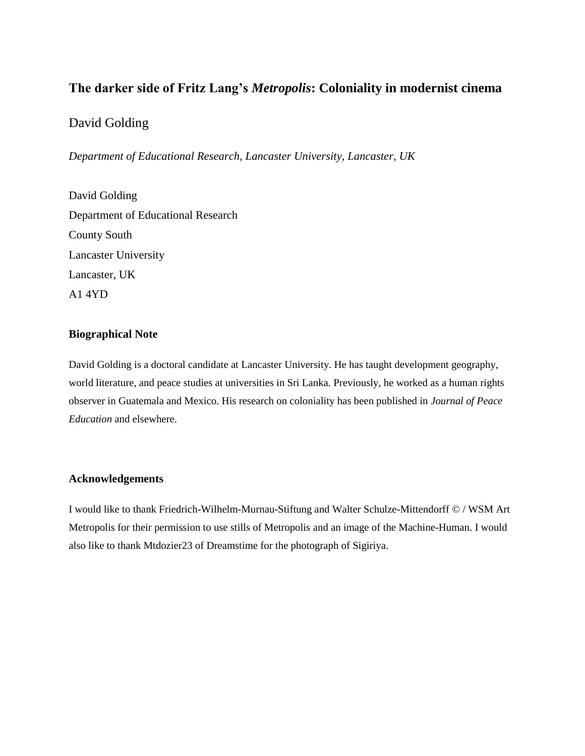# **The darker side of Fritz Lang's** *Metropolis***: Coloniality in modernist cinema**

# David Golding

*Department of Educational Research, Lancaster University, Lancaster, UK*

David Golding Department of Educational Research County South Lancaster University Lancaster, UK A1 4YD

# **Biographical Note**

David Golding is a doctoral candidate at Lancaster University. He has taught development geography, world literature, and peace studies at universities in Sri Lanka. Previously, he worked as a human rights observer in Guatemala and Mexico. His research on coloniality has been published in *Journal of Peace Education* and elsewhere.

## **Acknowledgements**

I would like to thank Friedrich-Wilhelm-Murnau-Stiftung and Walter Schulze-Mittendorff © / WSM Art Metropolis for their permission to use stills of Metropolis and an image of the Machine-Human. I would also like to thank Mtdozier23 of Dreamstime for the photograph of Sigiriya.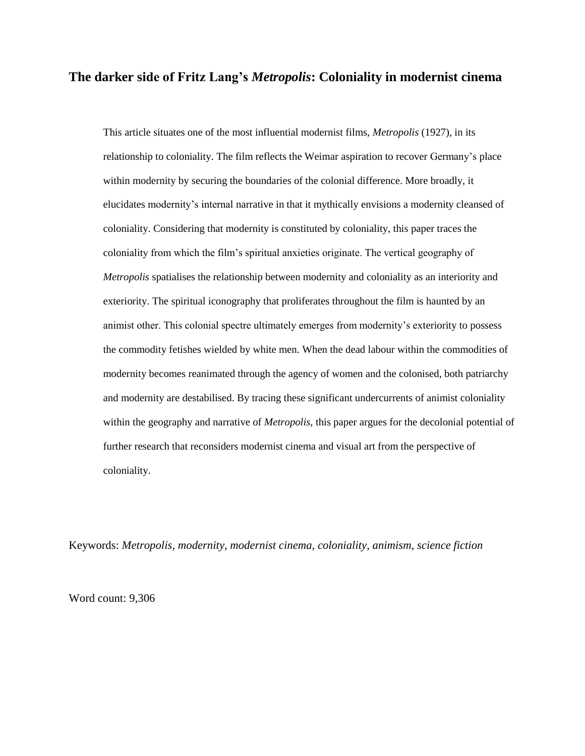# **The darker side of Fritz Lang's** *Metropolis***: Coloniality in modernist cinema**

This article situates one of the most influential modernist films, *Metropolis* (1927), in its relationship to coloniality. The film reflects the Weimar aspiration to recover Germany's place within modernity by securing the boundaries of the colonial difference. More broadly, it elucidates modernity's internal narrative in that it mythically envisions a modernity cleansed of coloniality. Considering that modernity is constituted by coloniality, this paper traces the coloniality from which the film's spiritual anxieties originate. The vertical geography of *Metropolis* spatialises the relationship between modernity and coloniality as an interiority and exteriority. The spiritual iconography that proliferates throughout the film is haunted by an animist other. This colonial spectre ultimately emerges from modernity's exteriority to possess the commodity fetishes wielded by white men. When the dead labour within the commodities of modernity becomes reanimated through the agency of women and the colonised, both patriarchy and modernity are destabilised. By tracing these significant undercurrents of animist coloniality within the geography and narrative of *Metropolis,* this paper argues for the decolonial potential of further research that reconsiders modernist cinema and visual art from the perspective of coloniality.

Keywords: *Metropolis, modernity, modernist cinema, coloniality, animism, science fiction*

Word count: 9,306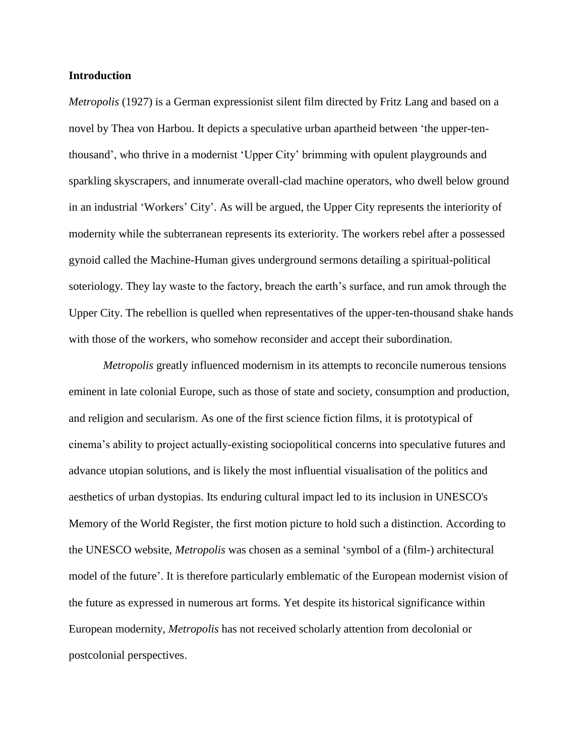#### **Introduction**

*Metropolis* (1927) is a German expressionist silent film directed by Fritz Lang and based on a novel by Thea von Harbou. It depicts a speculative urban apartheid between 'the upper-tenthousand', who thrive in a modernist 'Upper City' brimming with opulent playgrounds and sparkling skyscrapers, and innumerate overall-clad machine operators, who dwell below ground in an industrial 'Workers' City'. As will be argued, the Upper City represents the interiority of modernity while the subterranean represents its exteriority. The workers rebel after a possessed gynoid called the Machine-Human gives underground sermons detailing a spiritual-political soteriology. They lay waste to the factory, breach the earth's surface, and run amok through the Upper City. The rebellion is quelled when representatives of the upper-ten-thousand shake hands with those of the workers, who somehow reconsider and accept their subordination.

*Metropolis* greatly influenced modernism in its attempts to reconcile numerous tensions eminent in late colonial Europe, such as those of state and society, consumption and production, and religion and secularism. As one of the first science fiction films, it is prototypical of cinema's ability to project actually-existing sociopolitical concerns into speculative futures and advance utopian solutions, and is likely the most influential visualisation of the politics and aesthetics of urban dystopias. Its enduring cultural impact led to its inclusion in UNESCO's Memory of the World Register, the first motion picture to hold such a distinction. According to the UNESCO website, *Metropolis* was chosen as a seminal 'symbol of a (film-) architectural model of the future'. It is therefore particularly emblematic of the European modernist vision of the future as expressed in numerous art forms. Yet despite its historical significance within European modernity, *Metropolis* has not received scholarly attention from decolonial or postcolonial perspectives.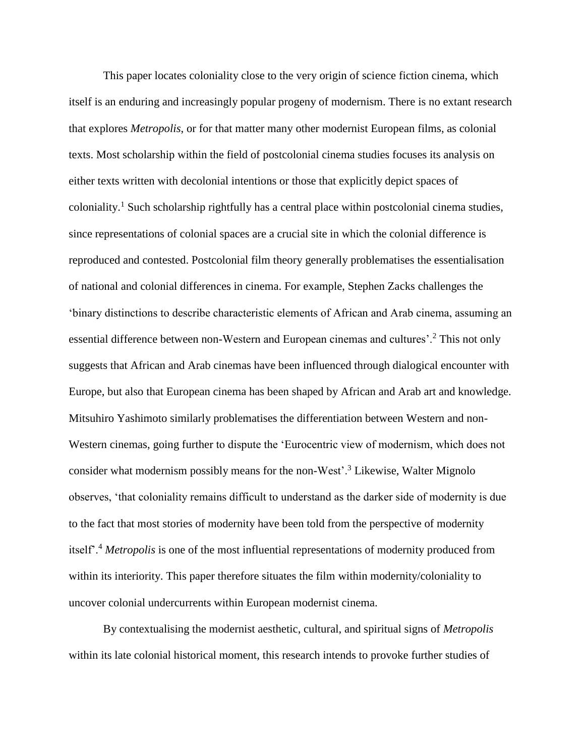This paper locates coloniality close to the very origin of science fiction cinema, which itself is an enduring and increasingly popular progeny of modernism. There is no extant research that explores *Metropolis*, or for that matter many other modernist European films, as colonial texts. Most scholarship within the field of postcolonial cinema studies focuses its analysis on either texts written with decolonial intentions or those that explicitly depict spaces of coloniality.<sup>1</sup> Such scholarship rightfully has a central place within postcolonial cinema studies, since representations of colonial spaces are a crucial site in which the colonial difference is reproduced and contested. Postcolonial film theory generally problematises the essentialisation of national and colonial differences in cinema. For example, Stephen Zacks challenges the 'binary distinctions to describe characteristic elements of African and Arab cinema, assuming an essential difference between non-Western and European cinemas and cultures'.<sup>2</sup> This not only suggests that African and Arab cinemas have been influenced through dialogical encounter with Europe, but also that European cinema has been shaped by African and Arab art and knowledge. Mitsuhiro Yashimoto similarly problematises the differentiation between Western and non-Western cinemas, going further to dispute the 'Eurocentric view of modernism, which does not consider what modernism possibly means for the non-West'.<sup>3</sup> Likewise, Walter Mignolo observes, 'that coloniality remains difficult to understand as the darker side of modernity is due to the fact that most stories of modernity have been told from the perspective of modernity itself'.<sup>4</sup> *Metropolis* is one of the most influential representations of modernity produced from within its interiority. This paper therefore situates the film within modernity/coloniality to uncover colonial undercurrents within European modernist cinema.

By contextualising the modernist aesthetic, cultural, and spiritual signs of *Metropolis*  within its late colonial historical moment, this research intends to provoke further studies of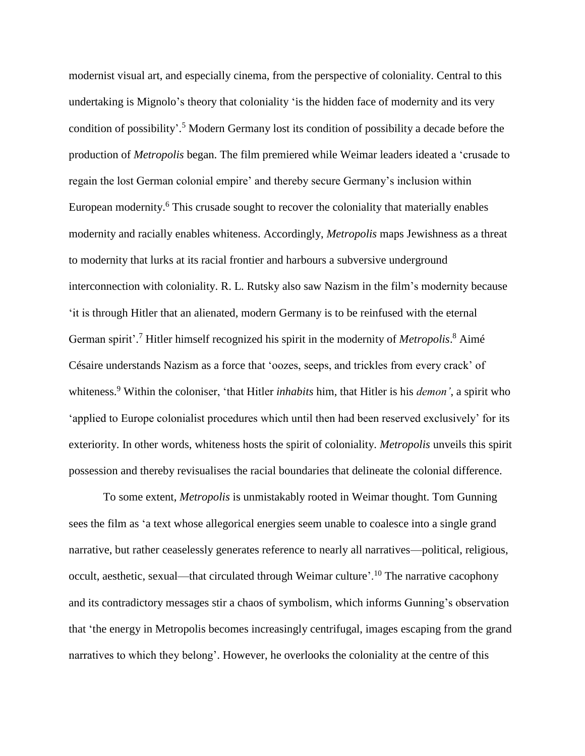modernist visual art, and especially cinema, from the perspective of coloniality. Central to this undertaking is Mignolo's theory that coloniality 'is the hidden face of modernity and its very condition of possibility'. <sup>5</sup> Modern Germany lost its condition of possibility a decade before the production of *Metropolis* began. The film premiered while Weimar leaders ideated a 'crusade to regain the lost German colonial empire' and thereby secure Germany's inclusion within European modernity. <sup>6</sup> This crusade sought to recover the coloniality that materially enables modernity and racially enables whiteness. Accordingly, *Metropolis* maps Jewishness as a threat to modernity that lurks at its racial frontier and harbours a subversive underground interconnection with coloniality. R. L. Rutsky also saw Nazism in the film's modernity because 'it is through Hitler that an alienated, modern Germany is to be reinfused with the eternal German spirit'. <sup>7</sup> Hitler himself recognized his spirit in the modernity of *Metropolis*. <sup>8</sup> Aimé Césaire understands Nazism as a force that 'oozes, seeps, and trickles from every crack' of whiteness. <sup>9</sup> Within the coloniser, 'that Hitler *inhabits* him, that Hitler is his *demon'*, a spirit who 'applied to Europe colonialist procedures which until then had been reserved exclusively' for its exteriority. In other words, whiteness hosts the spirit of coloniality. *Metropolis* unveils this spirit possession and thereby revisualises the racial boundaries that delineate the colonial difference.

To some extent, *Metropolis* is unmistakably rooted in Weimar thought. Tom Gunning sees the film as 'a text whose allegorical energies seem unable to coalesce into a single grand narrative, but rather ceaselessly generates reference to nearly all narratives—political, religious, occult, aesthetic, sexual—that circulated through Weimar culture'.<sup>10</sup> The narrative cacophony and its contradictory messages stir a chaos of symbolism, which informs Gunning's observation that 'the energy in Metropolis becomes increasingly centrifugal, images escaping from the grand narratives to which they belong'. However, he overlooks the coloniality at the centre of this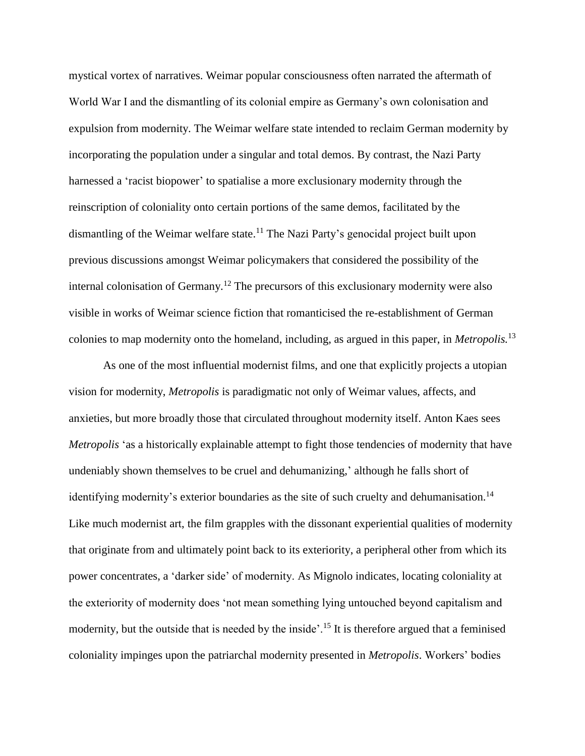mystical vortex of narratives. Weimar popular consciousness often narrated the aftermath of World War I and the dismantling of its colonial empire as Germany's own colonisation and expulsion from modernity. The Weimar welfare state intended to reclaim German modernity by incorporating the population under a singular and total demos. By contrast, the Nazi Party harnessed a 'racist biopower' to spatialise a more exclusionary modernity through the reinscription of coloniality onto certain portions of the same demos, facilitated by the dismantling of the Weimar welfare state.<sup>11</sup> The Nazi Party's genocidal project built upon previous discussions amongst Weimar policymakers that considered the possibility of the internal colonisation of Germany.<sup>12</sup> The precursors of this exclusionary modernity were also visible in works of Weimar science fiction that romanticised the re-establishment of German colonies to map modernity onto the homeland, including, as argued in this paper, in *Metropolis.*<sup>13</sup>

As one of the most influential modernist films, and one that explicitly projects a utopian vision for modernity, *Metropolis* is paradigmatic not only of Weimar values, affects, and anxieties, but more broadly those that circulated throughout modernity itself. Anton Kaes sees *Metropolis* 'as a historically explainable attempt to fight those tendencies of modernity that have undeniably shown themselves to be cruel and dehumanizing,' although he falls short of identifying modernity's exterior boundaries as the site of such cruelty and dehumanisation.<sup>14</sup> Like much modernist art, the film grapples with the dissonant experiential qualities of modernity that originate from and ultimately point back to its exteriority, a peripheral other from which its power concentrates, a 'darker side' of modernity. As Mignolo indicates, locating coloniality at the exteriority of modernity does 'not mean something lying untouched beyond capitalism and modernity, but the outside that is needed by the inside'.<sup>15</sup> It is therefore argued that a feminised coloniality impinges upon the patriarchal modernity presented in *Metropolis*. Workers' bodies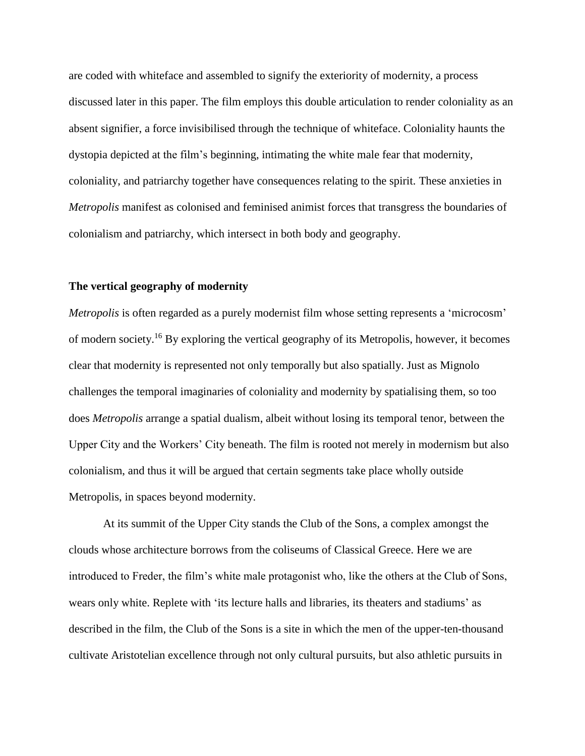are coded with whiteface and assembled to signify the exteriority of modernity, a process discussed later in this paper. The film employs this double articulation to render coloniality as an absent signifier, a force invisibilised through the technique of whiteface. Coloniality haunts the dystopia depicted at the film's beginning, intimating the white male fear that modernity, coloniality, and patriarchy together have consequences relating to the spirit. These anxieties in *Metropolis* manifest as colonised and feminised animist forces that transgress the boundaries of colonialism and patriarchy, which intersect in both body and geography.

### **The vertical geography of modernity**

*Metropolis* is often regarded as a purely modernist film whose setting represents a 'microcosm' of modern society. <sup>16</sup> By exploring the vertical geography of its Metropolis, however, it becomes clear that modernity is represented not only temporally but also spatially. Just as Mignolo challenges the temporal imaginaries of coloniality and modernity by spatialising them, so too does *Metropolis* arrange a spatial dualism, albeit without losing its temporal tenor, between the Upper City and the Workers' City beneath. The film is rooted not merely in modernism but also colonialism, and thus it will be argued that certain segments take place wholly outside Metropolis, in spaces beyond modernity.

At its summit of the Upper City stands the Club of the Sons, a complex amongst the clouds whose architecture borrows from the coliseums of Classical Greece. Here we are introduced to Freder, the film's white male protagonist who, like the others at the Club of Sons, wears only white. Replete with 'its lecture halls and libraries, its theaters and stadiums' as described in the film, the Club of the Sons is a site in which the men of the upper-ten-thousand cultivate Aristotelian excellence through not only cultural pursuits, but also athletic pursuits in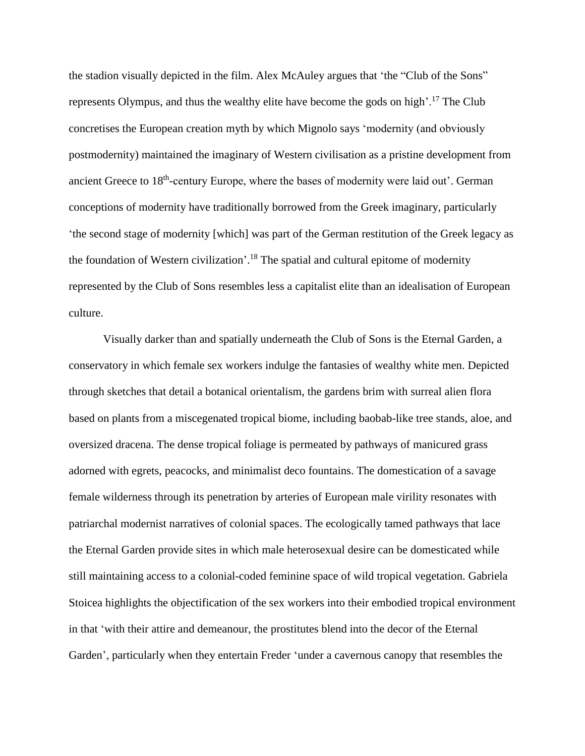the stadion visually depicted in the film. Alex McAuley argues that 'the "Club of the Sons" represents Olympus, and thus the wealthy elite have become the gods on high'.<sup>17</sup> The Club concretises the European creation myth by which Mignolo says 'modernity (and obviously postmodernity) maintained the imaginary of Western civilisation as a pristine development from ancient Greece to 18<sup>th</sup>-century Europe, where the bases of modernity were laid out'. German conceptions of modernity have traditionally borrowed from the Greek imaginary, particularly 'the second stage of modernity [which] was part of the German restitution of the Greek legacy as the foundation of Western civilization'.<sup>18</sup> The spatial and cultural epitome of modernity represented by the Club of Sons resembles less a capitalist elite than an idealisation of European culture.

Visually darker than and spatially underneath the Club of Sons is the Eternal Garden, a conservatory in which female sex workers indulge the fantasies of wealthy white men. Depicted through sketches that detail a botanical orientalism, the gardens brim with surreal alien flora based on plants from a miscegenated tropical biome, including baobab-like tree stands, aloe, and oversized dracena. The dense tropical foliage is permeated by pathways of manicured grass adorned with egrets, peacocks, and minimalist deco fountains. The domestication of a savage female wilderness through its penetration by arteries of European male virility resonates with patriarchal modernist narratives of colonial spaces. The ecologically tamed pathways that lace the Eternal Garden provide sites in which male heterosexual desire can be domesticated while still maintaining access to a colonial-coded feminine space of wild tropical vegetation. Gabriela Stoicea highlights the objectification of the sex workers into their embodied tropical environment in that 'with their attire and demeanour, the prostitutes blend into the decor of the Eternal Garden', particularly when they entertain Freder 'under a cavernous canopy that resembles the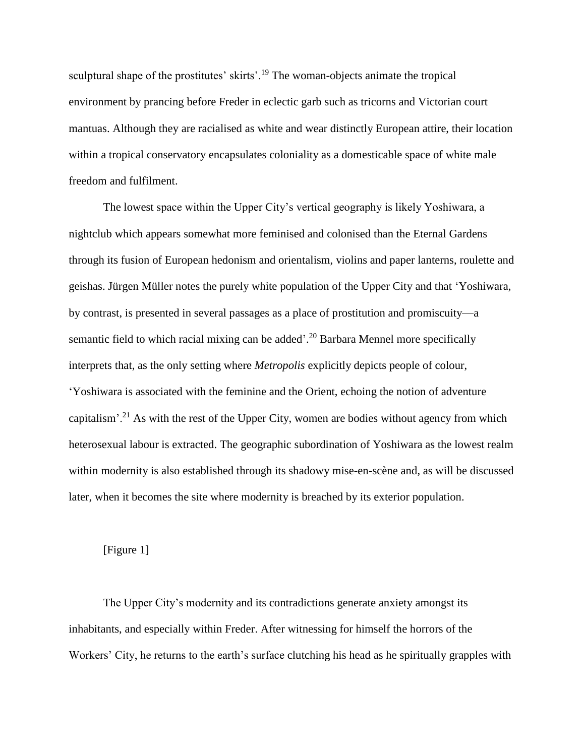sculptural shape of the prostitutes' skirts'.<sup>19</sup> The woman-objects animate the tropical environment by prancing before Freder in eclectic garb such as tricorns and Victorian court mantuas. Although they are racialised as white and wear distinctly European attire, their location within a tropical conservatory encapsulates coloniality as a domesticable space of white male freedom and fulfilment.

The lowest space within the Upper City's vertical geography is likely Yoshiwara, a nightclub which appears somewhat more feminised and colonised than the Eternal Gardens through its fusion of European hedonism and orientalism, violins and paper lanterns, roulette and geishas. Jürgen Müller notes the purely white population of the Upper City and that 'Yoshiwara, by contrast, is presented in several passages as a place of prostitution and promiscuity—a semantic field to which racial mixing can be added'.<sup>20</sup> Barbara Mennel more specifically interprets that, as the only setting where *Metropolis* explicitly depicts people of colour, 'Yoshiwara is associated with the feminine and the Orient, echoing the notion of adventure capitalism'.<sup>21</sup> As with the rest of the Upper City, women are bodies without agency from which heterosexual labour is extracted. The geographic subordination of Yoshiwara as the lowest realm within modernity is also established through its shadowy mise-en-scène and, as will be discussed later, when it becomes the site where modernity is breached by its exterior population.

#### [Figure 1]

The Upper City's modernity and its contradictions generate anxiety amongst its inhabitants, and especially within Freder. After witnessing for himself the horrors of the Workers' City, he returns to the earth's surface clutching his head as he spiritually grapples with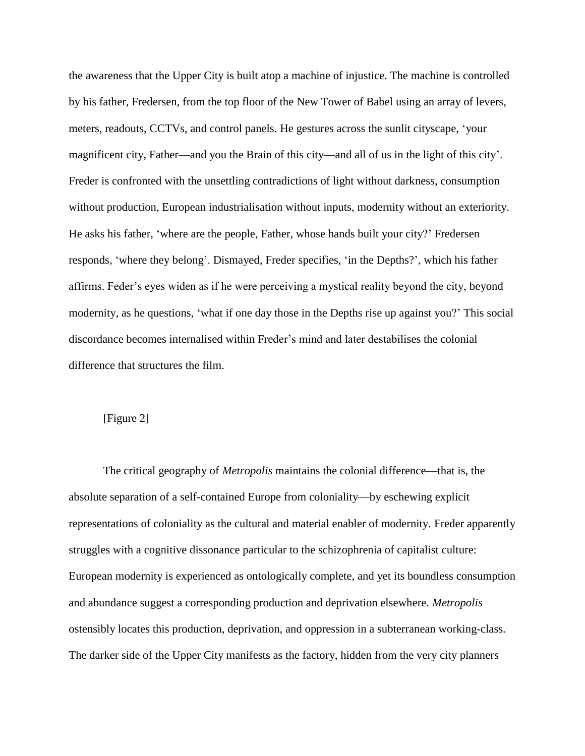the awareness that the Upper City is built atop a machine of injustice. The machine is controlled by his father, Fredersen, from the top floor of the New Tower of Babel using an array of levers, meters, readouts, CCTVs, and control panels. He gestures across the sunlit cityscape, 'your magnificent city, Father—and you the Brain of this city—and all of us in the light of this city'. Freder is confronted with the unsettling contradictions of light without darkness, consumption without production, European industrialisation without inputs, modernity without an exteriority. He asks his father, 'where are the people, Father, whose hands built your city?' Fredersen responds, 'where they belong'. Dismayed, Freder specifies, 'in the Depths?', which his father affirms. Feder's eyes widen as if he were perceiving a mystical reality beyond the city, beyond modernity, as he questions, 'what if one day those in the Depths rise up against you?' This social discordance becomes internalised within Freder's mind and later destabilises the colonial difference that structures the film.

### [Figure 2]

The critical geography of *Metropolis* maintains the colonial difference—that is, the absolute separation of a self-contained Europe from coloniality—by eschewing explicit representations of coloniality as the cultural and material enabler of modernity. Freder apparently struggles with a cognitive dissonance particular to the schizophrenia of capitalist culture: European modernity is experienced as ontologically complete, and yet its boundless consumption and abundance suggest a corresponding production and deprivation elsewhere. *Metropolis*  ostensibly locates this production, deprivation, and oppression in a subterranean working-class. The darker side of the Upper City manifests as the factory, hidden from the very city planners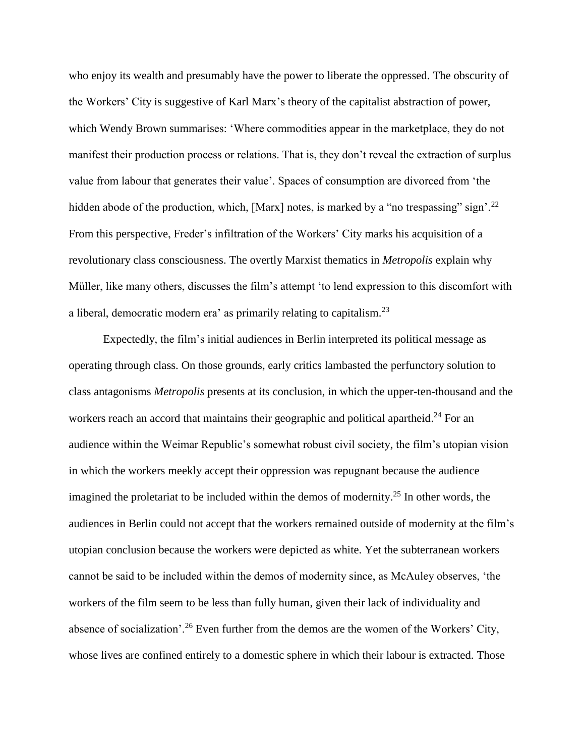who enjoy its wealth and presumably have the power to liberate the oppressed. The obscurity of the Workers' City is suggestive of Karl Marx's theory of the capitalist abstraction of power, which Wendy Brown summarises: 'Where commodities appear in the marketplace, they do not manifest their production process or relations. That is, they don't reveal the extraction of surplus value from labour that generates their value'. Spaces of consumption are divorced from 'the hidden abode of the production, which, [Marx] notes, is marked by a "no trespassing" sign'.<sup>22</sup> From this perspective, Freder's infiltration of the Workers' City marks his acquisition of a revolutionary class consciousness. The overtly Marxist thematics in *Metropolis* explain why Müller, like many others, discusses the film's attempt 'to lend expression to this discomfort with a liberal, democratic modern era' as primarily relating to capitalism.<sup>23</sup>

Expectedly, the film's initial audiences in Berlin interpreted its political message as operating through class. On those grounds, early critics lambasted the perfunctory solution to class antagonisms *Metropolis* presents at its conclusion, in which the upper-ten-thousand and the workers reach an accord that maintains their geographic and political apartheid.<sup>24</sup> For an audience within the Weimar Republic's somewhat robust civil society, the film's utopian vision in which the workers meekly accept their oppression was repugnant because the audience imagined the proletariat to be included within the demos of modernity.<sup>25</sup> In other words, the audiences in Berlin could not accept that the workers remained outside of modernity at the film's utopian conclusion because the workers were depicted as white. Yet the subterranean workers cannot be said to be included within the demos of modernity since, as McAuley observes, 'the workers of the film seem to be less than fully human, given their lack of individuality and absence of socialization'.<sup>26</sup> Even further from the demos are the women of the Workers' City, whose lives are confined entirely to a domestic sphere in which their labour is extracted. Those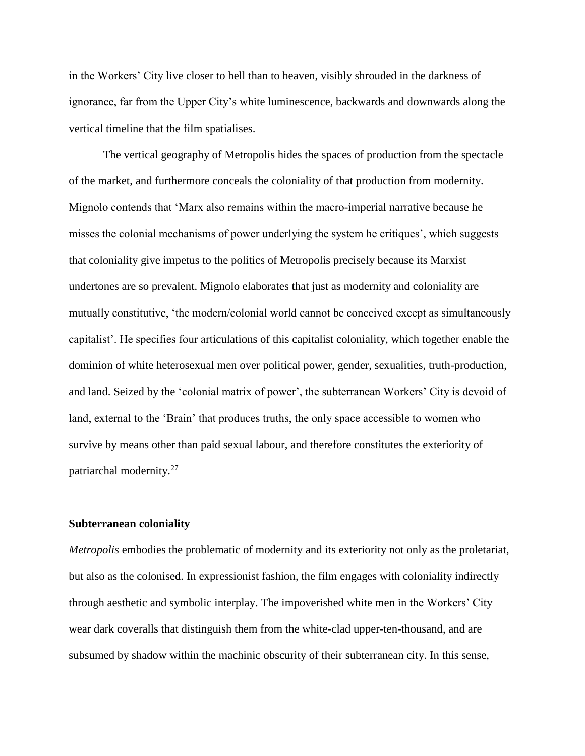in the Workers' City live closer to hell than to heaven, visibly shrouded in the darkness of ignorance, far from the Upper City's white luminescence, backwards and downwards along the vertical timeline that the film spatialises.

The vertical geography of Metropolis hides the spaces of production from the spectacle of the market, and furthermore conceals the coloniality of that production from modernity. Mignolo contends that 'Marx also remains within the macro-imperial narrative because he misses the colonial mechanisms of power underlying the system he critiques', which suggests that coloniality give impetus to the politics of Metropolis precisely because its Marxist undertones are so prevalent. Mignolo elaborates that just as modernity and coloniality are mutually constitutive, 'the modern/colonial world cannot be conceived except as simultaneously capitalist'. He specifies four articulations of this capitalist coloniality, which together enable the dominion of white heterosexual men over political power, gender, sexualities, truth-production, and land. Seized by the 'colonial matrix of power', the subterranean Workers' City is devoid of land, external to the 'Brain' that produces truths, the only space accessible to women who survive by means other than paid sexual labour, and therefore constitutes the exteriority of patriarchal modernity.<sup>27</sup>

#### **Subterranean coloniality**

*Metropolis* embodies the problematic of modernity and its exteriority not only as the proletariat, but also as the colonised. In expressionist fashion, the film engages with coloniality indirectly through aesthetic and symbolic interplay. The impoverished white men in the Workers' City wear dark coveralls that distinguish them from the white-clad upper-ten-thousand, and are subsumed by shadow within the machinic obscurity of their subterranean city. In this sense,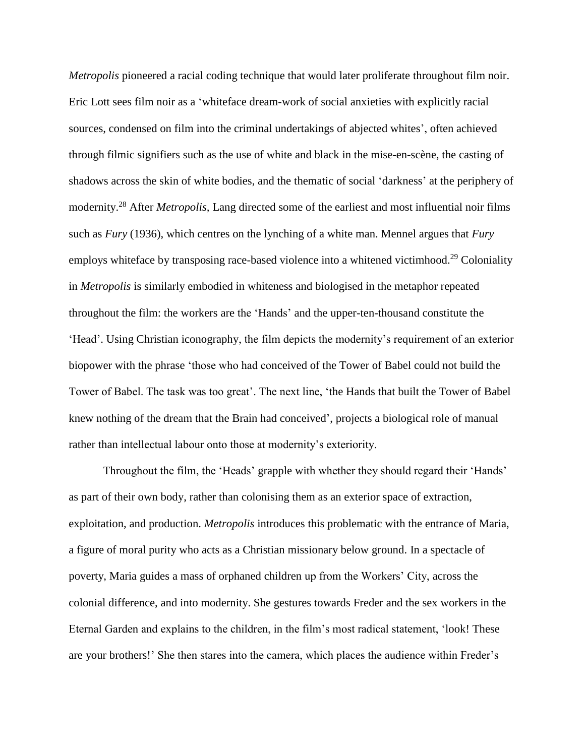*Metropolis* pioneered a racial coding technique that would later proliferate throughout film noir. Eric Lott sees film noir as a 'whiteface dream-work of social anxieties with explicitly racial sources, condensed on film into the criminal undertakings of abjected whites', often achieved through filmic signifiers such as the use of white and black in the mise-en-scène, the casting of shadows across the skin of white bodies, and the thematic of social 'darkness' at the periphery of modernity.<sup>28</sup> After *Metropolis,* Lang directed some of the earliest and most influential noir films such as *Fury* (1936), which centres on the lynching of a white man. Mennel argues that *Fury*  employs whiteface by transposing race-based violence into a whitened victimhood.<sup>29</sup> Coloniality in *Metropolis* is similarly embodied in whiteness and biologised in the metaphor repeated throughout the film: the workers are the 'Hands' and the upper-ten-thousand constitute the 'Head'. Using Christian iconography, the film depicts the modernity's requirement of an exterior biopower with the phrase 'those who had conceived of the Tower of Babel could not build the Tower of Babel. The task was too great'. The next line, 'the Hands that built the Tower of Babel knew nothing of the dream that the Brain had conceived', projects a biological role of manual rather than intellectual labour onto those at modernity's exteriority.

Throughout the film, the 'Heads' grapple with whether they should regard their 'Hands' as part of their own body, rather than colonising them as an exterior space of extraction, exploitation, and production. *Metropolis* introduces this problematic with the entrance of Maria, a figure of moral purity who acts as a Christian missionary below ground. In a spectacle of poverty, Maria guides a mass of orphaned children up from the Workers' City, across the colonial difference, and into modernity. She gestures towards Freder and the sex workers in the Eternal Garden and explains to the children, in the film's most radical statement, 'look! These are your brothers!' She then stares into the camera, which places the audience within Freder's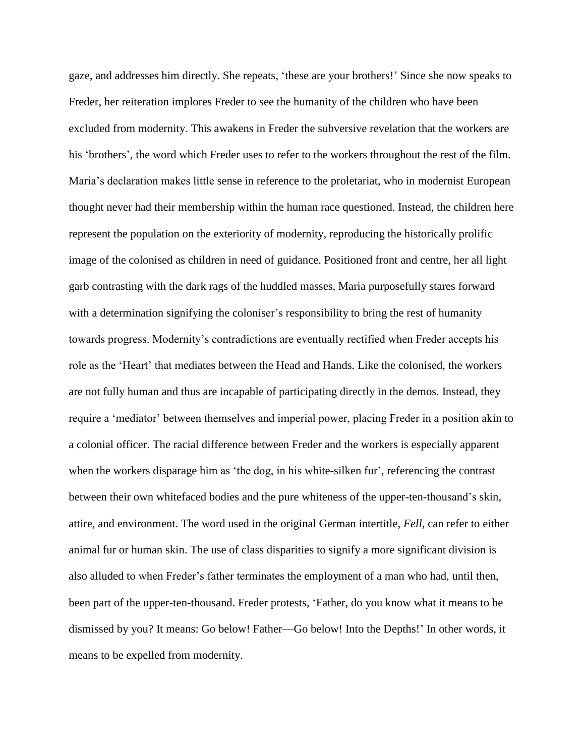gaze, and addresses him directly. She repeats, 'these are your brothers!' Since she now speaks to Freder, her reiteration implores Freder to see the humanity of the children who have been excluded from modernity. This awakens in Freder the subversive revelation that the workers are his 'brothers', the word which Freder uses to refer to the workers throughout the rest of the film. Maria's declaration makes little sense in reference to the proletariat, who in modernist European thought never had their membership within the human race questioned. Instead, the children here represent the population on the exteriority of modernity, reproducing the historically prolific image of the colonised as children in need of guidance. Positioned front and centre, her all light garb contrasting with the dark rags of the huddled masses, Maria purposefully stares forward with a determination signifying the coloniser's responsibility to bring the rest of humanity towards progress. Modernity's contradictions are eventually rectified when Freder accepts his role as the 'Heart' that mediates between the Head and Hands. Like the colonised, the workers are not fully human and thus are incapable of participating directly in the demos. Instead, they require a 'mediator' between themselves and imperial power, placing Freder in a position akin to a colonial officer. The racial difference between Freder and the workers is especially apparent when the workers disparage him as 'the dog, in his white-silken fur', referencing the contrast between their own whitefaced bodies and the pure whiteness of the upper-ten-thousand's skin, attire, and environment. The word used in the original German intertitle, *Fell*, can refer to either animal fur or human skin. The use of class disparities to signify a more significant division is also alluded to when Freder's father terminates the employment of a man who had, until then, been part of the upper-ten-thousand. Freder protests, 'Father, do you know what it means to be dismissed by you? It means: Go below! Father—Go below! Into the Depths!' In other words, it means to be expelled from modernity.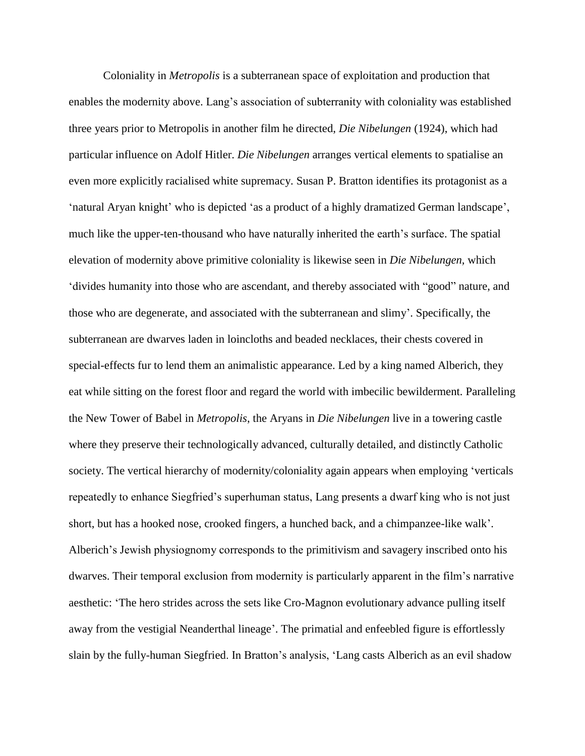Coloniality in *Metropolis* is a subterranean space of exploitation and production that enables the modernity above. Lang's association of subterranity with coloniality was established three years prior to Metropolis in another film he directed, *Die Nibelungen* (1924), which had particular influence on Adolf Hitler. *Die Nibelungen* arranges vertical elements to spatialise an even more explicitly racialised white supremacy. Susan P. Bratton identifies its protagonist as a 'natural Aryan knight' who is depicted 'as a product of a highly dramatized German landscape', much like the upper-ten-thousand who have naturally inherited the earth's surface. The spatial elevation of modernity above primitive coloniality is likewise seen in *Die Nibelungen,* which 'divides humanity into those who are ascendant, and thereby associated with "good" nature, and those who are degenerate, and associated with the subterranean and slimy'. Specifically, the subterranean are dwarves laden in loincloths and beaded necklaces, their chests covered in special-effects fur to lend them an animalistic appearance. Led by a king named Alberich, they eat while sitting on the forest floor and regard the world with imbecilic bewilderment. Paralleling the New Tower of Babel in *Metropolis*, the Aryans in *Die Nibelungen* live in a towering castle where they preserve their technologically advanced, culturally detailed, and distinctly Catholic society. The vertical hierarchy of modernity/coloniality again appears when employing 'verticals repeatedly to enhance Siegfried's superhuman status, Lang presents a dwarf king who is not just short, but has a hooked nose, crooked fingers, a hunched back, and a chimpanzee-like walk'. Alberich's Jewish physiognomy corresponds to the primitivism and savagery inscribed onto his dwarves. Their temporal exclusion from modernity is particularly apparent in the film's narrative aesthetic: 'The hero strides across the sets like Cro-Magnon evolutionary advance pulling itself away from the vestigial Neanderthal lineage'. The primatial and enfeebled figure is effortlessly slain by the fully-human Siegfried. In Bratton's analysis, 'Lang casts Alberich as an evil shadow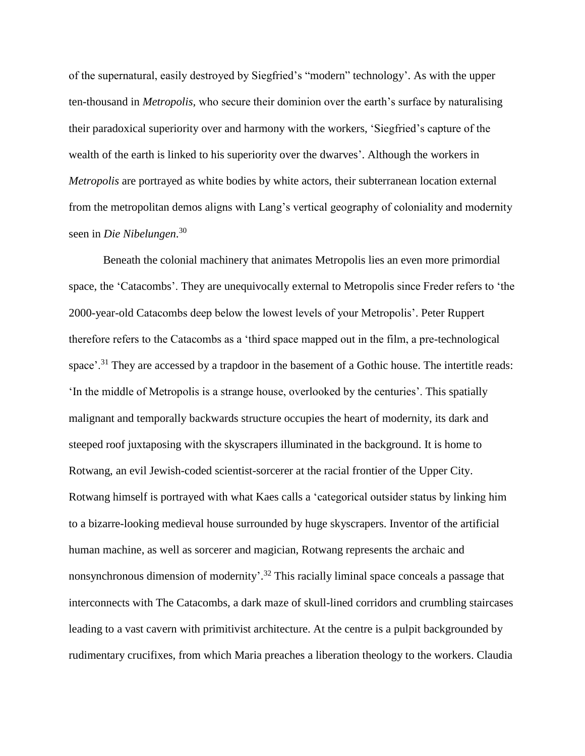of the supernatural, easily destroyed by Siegfried's "modern" technology'. As with the upper ten-thousand in *Metropolis,* who secure their dominion over the earth's surface by naturalising their paradoxical superiority over and harmony with the workers, 'Siegfried's capture of the wealth of the earth is linked to his superiority over the dwarves'. Although the workers in *Metropolis* are portrayed as white bodies by white actors, their subterranean location external from the metropolitan demos aligns with Lang's vertical geography of coloniality and modernity seen in *Die Nibelungen*. 30

Beneath the colonial machinery that animates Metropolis lies an even more primordial space, the 'Catacombs'. They are unequivocally external to Metropolis since Freder refers to 'the 2000-year-old Catacombs deep below the lowest levels of your Metropolis'. Peter Ruppert therefore refers to the Catacombs as a 'third space mapped out in the film, a pre-technological space'.<sup>31</sup> They are accessed by a trapdoor in the basement of a Gothic house. The intertitle reads: 'In the middle of Metropolis is a strange house, overlooked by the centuries'. This spatially malignant and temporally backwards structure occupies the heart of modernity, its dark and steeped roof juxtaposing with the skyscrapers illuminated in the background. It is home to Rotwang, an evil Jewish-coded scientist-sorcerer at the racial frontier of the Upper City. Rotwang himself is portrayed with what Kaes calls a 'categorical outsider status by linking him to a bizarre-looking medieval house surrounded by huge skyscrapers. Inventor of the artificial human machine, as well as sorcerer and magician, Rotwang represents the archaic and nonsynchronous dimension of modernity'.<sup>32</sup> This racially liminal space conceals a passage that interconnects with The Catacombs, a dark maze of skull-lined corridors and crumbling staircases leading to a vast cavern with primitivist architecture. At the centre is a pulpit backgrounded by rudimentary crucifixes, from which Maria preaches a liberation theology to the workers. Claudia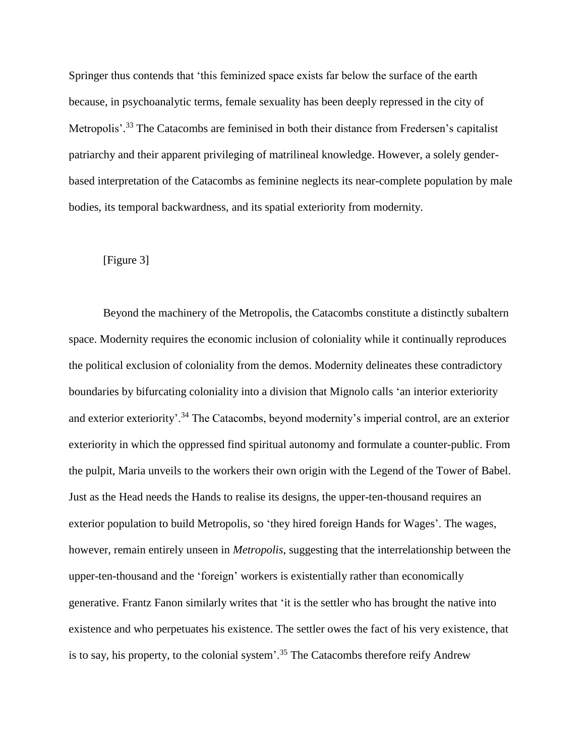Springer thus contends that 'this feminized space exists far below the surface of the earth because, in psychoanalytic terms, female sexuality has been deeply repressed in the city of Metropolis'.<sup>33</sup> The Catacombs are feminised in both their distance from Fredersen's capitalist patriarchy and their apparent privileging of matrilineal knowledge. However, a solely genderbased interpretation of the Catacombs as feminine neglects its near-complete population by male bodies, its temporal backwardness, and its spatial exteriority from modernity.

## [Figure 3]

Beyond the machinery of the Metropolis, the Catacombs constitute a distinctly subaltern space. Modernity requires the economic inclusion of coloniality while it continually reproduces the political exclusion of coloniality from the demos. Modernity delineates these contradictory boundaries by bifurcating coloniality into a division that Mignolo calls 'an interior exteriority and exterior exteriority'.<sup>34</sup> The Catacombs, beyond modernity's imperial control, are an exterior exteriority in which the oppressed find spiritual autonomy and formulate a counter-public. From the pulpit, Maria unveils to the workers their own origin with the Legend of the Tower of Babel. Just as the Head needs the Hands to realise its designs, the upper-ten-thousand requires an exterior population to build Metropolis, so 'they hired foreign Hands for Wages'. The wages, however, remain entirely unseen in *Metropolis*, suggesting that the interrelationship between the upper-ten-thousand and the 'foreign' workers is existentially rather than economically generative. Frantz Fanon similarly writes that 'it is the settler who has brought the native into existence and who perpetuates his existence. The settler owes the fact of his very existence, that is to say, his property, to the colonial system'.<sup>35</sup> The Catacombs therefore reify Andrew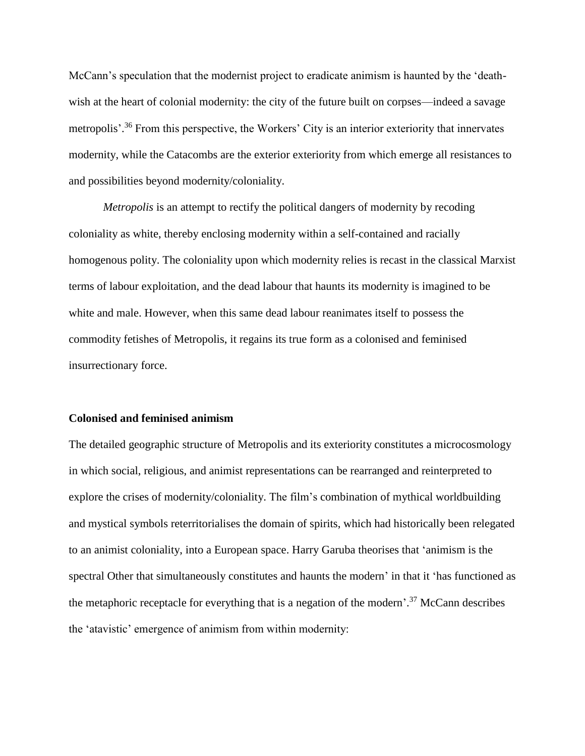McCann's speculation that the modernist project to eradicate animism is haunted by the 'deathwish at the heart of colonial modernity: the city of the future built on corpses—indeed a savage metropolis'.<sup>36</sup> From this perspective, the Workers' City is an interior exteriority that innervates modernity, while the Catacombs are the exterior exteriority from which emerge all resistances to and possibilities beyond modernity/coloniality.

*Metropolis* is an attempt to rectify the political dangers of modernity by recoding coloniality as white, thereby enclosing modernity within a self-contained and racially homogenous polity. The coloniality upon which modernity relies is recast in the classical Marxist terms of labour exploitation, and the dead labour that haunts its modernity is imagined to be white and male. However, when this same dead labour reanimates itself to possess the commodity fetishes of Metropolis, it regains its true form as a colonised and feminised insurrectionary force.

#### **Colonised and feminised animism**

The detailed geographic structure of Metropolis and its exteriority constitutes a microcosmology in which social, religious, and animist representations can be rearranged and reinterpreted to explore the crises of modernity/coloniality. The film's combination of mythical worldbuilding and mystical symbols reterritorialises the domain of spirits, which had historically been relegated to an animist coloniality, into a European space. Harry Garuba theorises that 'animism is the spectral Other that simultaneously constitutes and haunts the modern' in that it 'has functioned as the metaphoric receptacle for everything that is a negation of the modern'.<sup>37</sup> McCann describes the 'atavistic' emergence of animism from within modernity: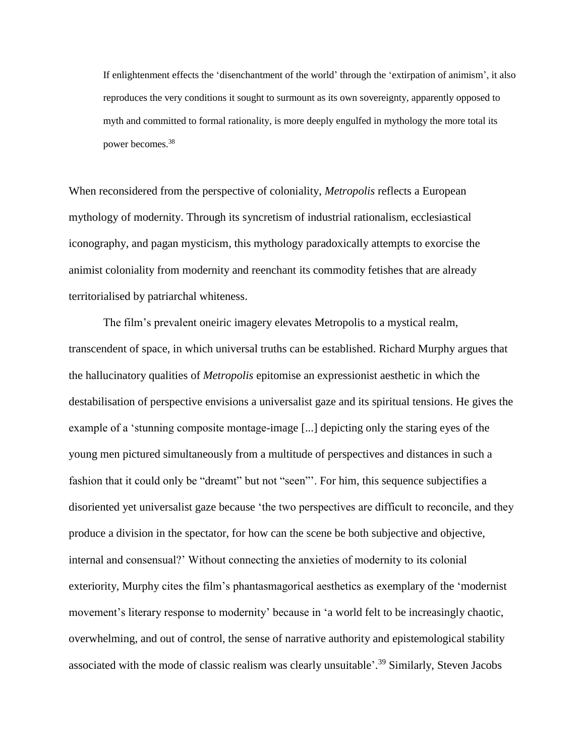If enlightenment effects the 'disenchantment of the world' through the 'extirpation of animism', it also reproduces the very conditions it sought to surmount as its own sovereignty, apparently opposed to myth and committed to formal rationality, is more deeply engulfed in mythology the more total its power becomes. 38

When reconsidered from the perspective of coloniality, *Metropolis* reflects a European mythology of modernity. Through its syncretism of industrial rationalism, ecclesiastical iconography, and pagan mysticism, this mythology paradoxically attempts to exorcise the animist coloniality from modernity and reenchant its commodity fetishes that are already territorialised by patriarchal whiteness.

The film's prevalent oneiric imagery elevates Metropolis to a mystical realm, transcendent of space, in which universal truths can be established. Richard Murphy argues that the hallucinatory qualities of *Metropolis* epitomise an expressionist aesthetic in which the destabilisation of perspective envisions a universalist gaze and its spiritual tensions. He gives the example of a 'stunning composite montage-image [...] depicting only the staring eyes of the young men pictured simultaneously from a multitude of perspectives and distances in such a fashion that it could only be "dreamt" but not "seen"'. For him, this sequence subjectifies a disoriented yet universalist gaze because 'the two perspectives are difficult to reconcile, and they produce a division in the spectator, for how can the scene be both subjective and objective, internal and consensual?' Without connecting the anxieties of modernity to its colonial exteriority, Murphy cites the film's phantasmagorical aesthetics as exemplary of the 'modernist movement's literary response to modernity' because in 'a world felt to be increasingly chaotic, overwhelming, and out of control, the sense of narrative authority and epistemological stability associated with the mode of classic realism was clearly unsuitable'.<sup>39</sup> Similarly, Steven Jacobs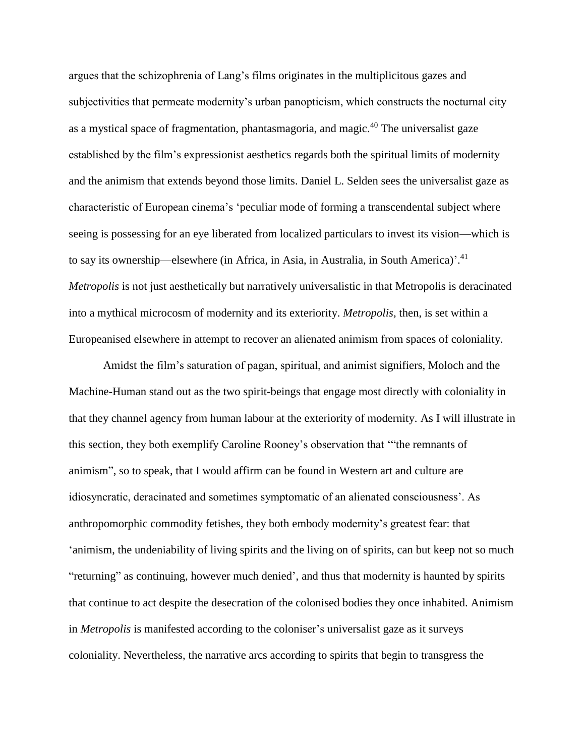argues that the schizophrenia of Lang's films originates in the multiplicitous gazes and subjectivities that permeate modernity's urban panopticism, which constructs the nocturnal city as a mystical space of fragmentation, phantasmagoria, and magic.<sup>40</sup> The universalist gaze established by the film's expressionist aesthetics regards both the spiritual limits of modernity and the animism that extends beyond those limits. Daniel L. Selden sees the universalist gaze as characteristic of European cinema's 'peculiar mode of forming a transcendental subject where seeing is possessing for an eye liberated from localized particulars to invest its vision—which is to say its ownership—elsewhere (in Africa, in Asia, in Australia, in South America)'.<sup>41</sup> *Metropolis* is not just aesthetically but narratively universalistic in that Metropolis is deracinated into a mythical microcosm of modernity and its exteriority. *Metropolis,* then, is set within a Europeanised elsewhere in attempt to recover an alienated animism from spaces of coloniality.

Amidst the film's saturation of pagan, spiritual, and animist signifiers, Moloch and the Machine-Human stand out as the two spirit-beings that engage most directly with coloniality in that they channel agency from human labour at the exteriority of modernity. As I will illustrate in this section, they both exemplify Caroline Rooney's observation that '"the remnants of animism", so to speak, that I would affirm can be found in Western art and culture are idiosyncratic, deracinated and sometimes symptomatic of an alienated consciousness'. As anthropomorphic commodity fetishes, they both embody modernity's greatest fear: that 'animism, the undeniability of living spirits and the living on of spirits, can but keep not so much "returning" as continuing, however much denied', and thus that modernity is haunted by spirits that continue to act despite the desecration of the colonised bodies they once inhabited. Animism in *Metropolis* is manifested according to the coloniser's universalist gaze as it surveys coloniality. Nevertheless, the narrative arcs according to spirits that begin to transgress the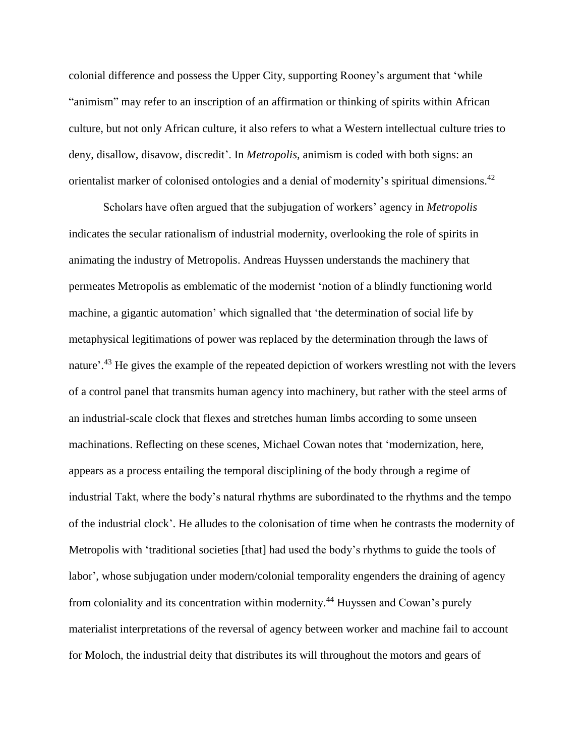colonial difference and possess the Upper City, supporting Rooney's argument that 'while "animism" may refer to an inscription of an affirmation or thinking of spirits within African culture, but not only African culture, it also refers to what a Western intellectual culture tries to deny, disallow, disavow, discredit'. In *Metropolis,* animism is coded with both signs: an orientalist marker of colonised ontologies and a denial of modernity's spiritual dimensions.<sup>42</sup>

Scholars have often argued that the subjugation of workers' agency in *Metropolis* indicates the secular rationalism of industrial modernity, overlooking the role of spirits in animating the industry of Metropolis. Andreas Huyssen understands the machinery that permeates Metropolis as emblematic of the modernist 'notion of a blindly functioning world machine, a gigantic automation' which signalled that 'the determination of social life by metaphysical legitimations of power was replaced by the determination through the laws of nature'.<sup>43</sup> He gives the example of the repeated depiction of workers wrestling not with the levers of a control panel that transmits human agency into machinery, but rather with the steel arms of an industrial-scale clock that flexes and stretches human limbs according to some unseen machinations. Reflecting on these scenes, Michael Cowan notes that 'modernization, here, appears as a process entailing the temporal disciplining of the body through a regime of industrial Takt, where the body's natural rhythms are subordinated to the rhythms and the tempo of the industrial clock'. He alludes to the colonisation of time when he contrasts the modernity of Metropolis with 'traditional societies [that] had used the body's rhythms to guide the tools of labor', whose subjugation under modern/colonial temporality engenders the draining of agency from coloniality and its concentration within modernity.<sup>44</sup> Huyssen and Cowan's purely materialist interpretations of the reversal of agency between worker and machine fail to account for Moloch, the industrial deity that distributes its will throughout the motors and gears of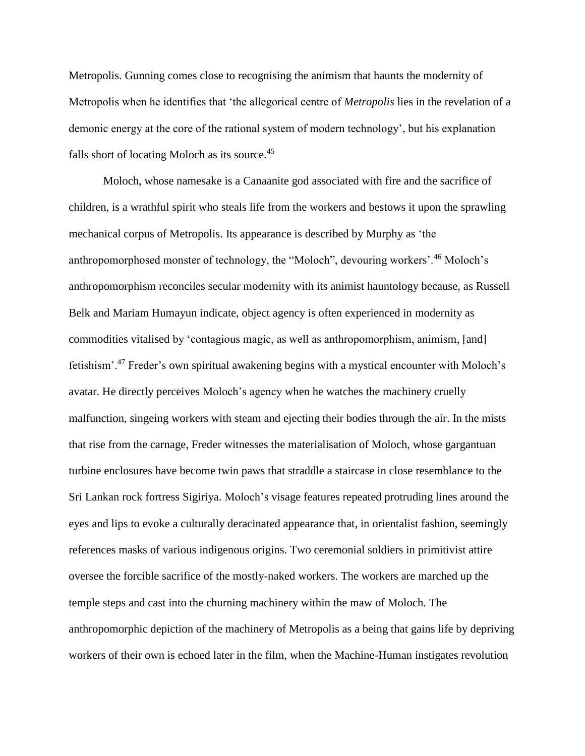Metropolis. Gunning comes close to recognising the animism that haunts the modernity of Metropolis when he identifies that 'the allegorical centre of *Metropolis* lies in the revelation of a demonic energy at the core of the rational system of modern technology', but his explanation falls short of locating Moloch as its source.<sup>45</sup>

Moloch, whose namesake is a Canaanite god associated with fire and the sacrifice of children, is a wrathful spirit who steals life from the workers and bestows it upon the sprawling mechanical corpus of Metropolis. Its appearance is described by Murphy as 'the anthropomorphosed monster of technology, the "Moloch", devouring workers'.<sup>46</sup> Moloch's anthropomorphism reconciles secular modernity with its animist hauntology because, as Russell Belk and Mariam Humayun indicate, object agency is often experienced in modernity as commodities vitalised by 'contagious magic, as well as anthropomorphism, animism, [and] fetishism'.<sup>47</sup> Freder's own spiritual awakening begins with a mystical encounter with Moloch's avatar. He directly perceives Moloch's agency when he watches the machinery cruelly malfunction, singeing workers with steam and ejecting their bodies through the air. In the mists that rise from the carnage, Freder witnesses the materialisation of Moloch, whose gargantuan turbine enclosures have become twin paws that straddle a staircase in close resemblance to the Sri Lankan rock fortress Sigiriya. Moloch's visage features repeated protruding lines around the eyes and lips to evoke a culturally deracinated appearance that, in orientalist fashion, seemingly references masks of various indigenous origins. Two ceremonial soldiers in primitivist attire oversee the forcible sacrifice of the mostly-naked workers. The workers are marched up the temple steps and cast into the churning machinery within the maw of Moloch. The anthropomorphic depiction of the machinery of Metropolis as a being that gains life by depriving workers of their own is echoed later in the film, when the Machine-Human instigates revolution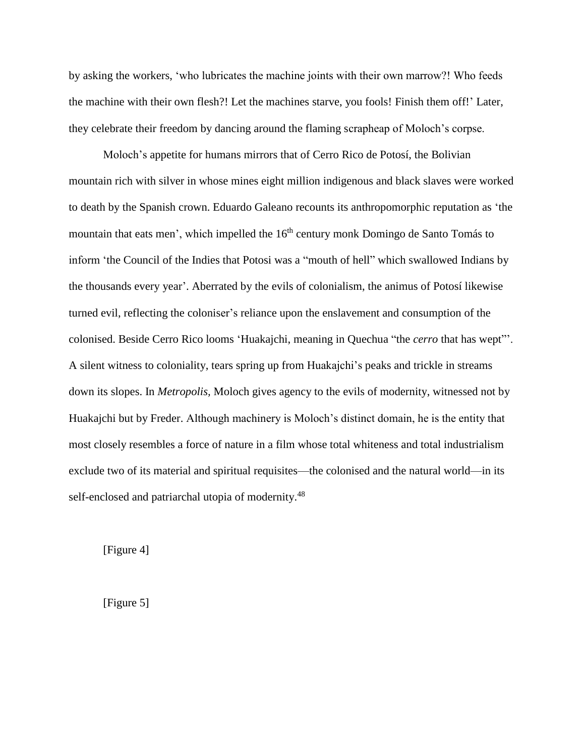by asking the workers, 'who lubricates the machine joints with their own marrow?! Who feeds the machine with their own flesh?! Let the machines starve, you fools! Finish them off!' Later, they celebrate their freedom by dancing around the flaming scrapheap of Moloch's corpse.

Moloch's appetite for humans mirrors that of Cerro Rico de Potosí, the Bolivian mountain rich with silver in whose mines eight million indigenous and black slaves were worked to death by the Spanish crown. Eduardo Galeano recounts its anthropomorphic reputation as 'the mountain that eats men', which impelled the  $16<sup>th</sup>$  century monk Domingo de Santo Tomás to inform 'the Council of the Indies that Potosi was a "mouth of hell" which swallowed Indians by the thousands every year'. Aberrated by the evils of colonialism, the animus of Potosí likewise turned evil, reflecting the coloniser's reliance upon the enslavement and consumption of the colonised. Beside Cerro Rico looms 'Huakajchi, meaning in Quechua "the *cerro* that has wept"'. A silent witness to coloniality, tears spring up from Huakajchi's peaks and trickle in streams down its slopes. In *Metropolis,* Moloch gives agency to the evils of modernity, witnessed not by Huakajchi but by Freder. Although machinery is Moloch's distinct domain, he is the entity that most closely resembles a force of nature in a film whose total whiteness and total industrialism exclude two of its material and spiritual requisites—the colonised and the natural world—in its self-enclosed and patriarchal utopia of modernity.<sup>48</sup>

[Figure 4]

[Figure 5]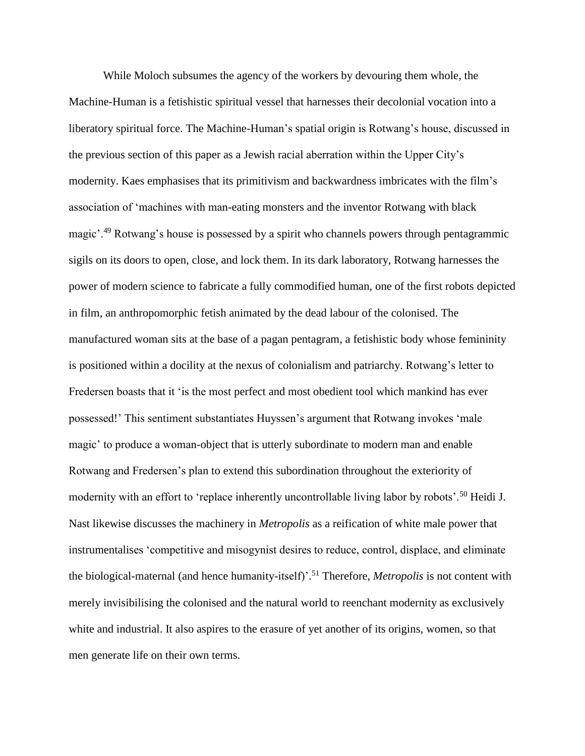While Moloch subsumes the agency of the workers by devouring them whole, the Machine-Human is a fetishistic spiritual vessel that harnesses their decolonial vocation into a liberatory spiritual force. The Machine-Human's spatial origin is Rotwang's house, discussed in the previous section of this paper as a Jewish racial aberration within the Upper City's modernity. Kaes emphasises that its primitivism and backwardness imbricates with the film's association of 'machines with man-eating monsters and the inventor Rotwang with black magic'.<sup>49</sup> Rotwang's house is possessed by a spirit who channels powers through pentagrammic sigils on its doors to open, close, and lock them. In its dark laboratory, Rotwang harnesses the power of modern science to fabricate a fully commodified human, one of the first robots depicted in film, an anthropomorphic fetish animated by the dead labour of the colonised. The manufactured woman sits at the base of a pagan pentagram, a fetishistic body whose femininity is positioned within a docility at the nexus of colonialism and patriarchy. Rotwang's letter to Fredersen boasts that it 'is the most perfect and most obedient tool which mankind has ever possessed!' This sentiment substantiates Huyssen's argument that Rotwang invokes 'male magic' to produce a woman-object that is utterly subordinate to modern man and enable Rotwang and Fredersen's plan to extend this subordination throughout the exteriority of modernity with an effort to 'replace inherently uncontrollable living labor by robots'.<sup>50</sup> Heidi J. Nast likewise discusses the machinery in *Metropolis* as a reification of white male power that instrumentalises 'competitive and misogynist desires to reduce, control, displace, and eliminate the biological-maternal (and hence humanity-itself)'. <sup>51</sup> Therefore, *Metropolis* is not content with merely invisibilising the colonised and the natural world to reenchant modernity as exclusively white and industrial. It also aspires to the erasure of yet another of its origins, women, so that men generate life on their own terms.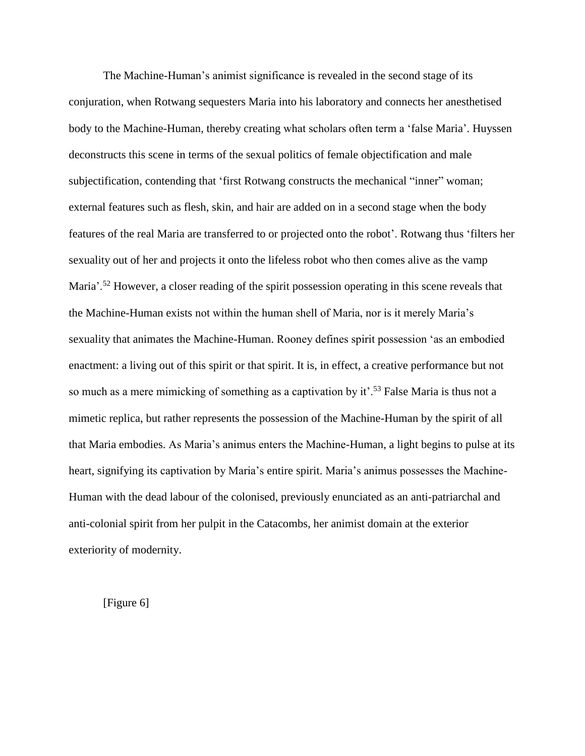The Machine-Human's animist significance is revealed in the second stage of its conjuration, when Rotwang sequesters Maria into his laboratory and connects her anesthetised body to the Machine-Human, thereby creating what scholars often term a 'false Maria'. Huyssen deconstructs this scene in terms of the sexual politics of female objectification and male subjectification, contending that 'first Rotwang constructs the mechanical "inner" woman; external features such as flesh, skin, and hair are added on in a second stage when the body features of the real Maria are transferred to or projected onto the robot'. Rotwang thus 'filters her sexuality out of her and projects it onto the lifeless robot who then comes alive as the vamp Maria'.<sup>52</sup> However, a closer reading of the spirit possession operating in this scene reveals that the Machine-Human exists not within the human shell of Maria, nor is it merely Maria's sexuality that animates the Machine-Human. Rooney defines spirit possession 'as an embodied enactment: a living out of this spirit or that spirit. It is, in effect, a creative performance but not so much as a mere mimicking of something as a captivation by it'.<sup>53</sup> False Maria is thus not a mimetic replica, but rather represents the possession of the Machine-Human by the spirit of all that Maria embodies. As Maria's animus enters the Machine-Human, a light begins to pulse at its heart, signifying its captivation by Maria's entire spirit. Maria's animus possesses the Machine-Human with the dead labour of the colonised, previously enunciated as an anti-patriarchal and anti-colonial spirit from her pulpit in the Catacombs, her animist domain at the exterior exteriority of modernity.

[Figure 6]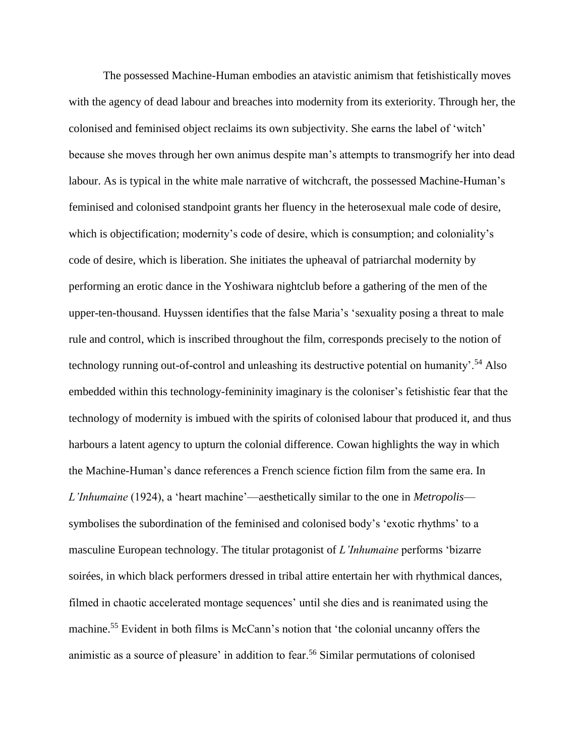The possessed Machine-Human embodies an atavistic animism that fetishistically moves with the agency of dead labour and breaches into modernity from its exteriority. Through her, the colonised and feminised object reclaims its own subjectivity. She earns the label of 'witch' because she moves through her own animus despite man's attempts to transmogrify her into dead labour. As is typical in the white male narrative of witchcraft, the possessed Machine-Human's feminised and colonised standpoint grants her fluency in the heterosexual male code of desire, which is objectification; modernity's code of desire, which is consumption; and coloniality's code of desire, which is liberation. She initiates the upheaval of patriarchal modernity by performing an erotic dance in the Yoshiwara nightclub before a gathering of the men of the upper-ten-thousand. Huyssen identifies that the false Maria's 'sexuality posing a threat to male rule and control, which is inscribed throughout the film, corresponds precisely to the notion of technology running out-of-control and unleashing its destructive potential on humanity'.<sup>54</sup> Also embedded within this technology-femininity imaginary is the coloniser's fetishistic fear that the technology of modernity is imbued with the spirits of colonised labour that produced it, and thus harbours a latent agency to upturn the colonial difference. Cowan highlights the way in which the Machine-Human's dance references a French science fiction film from the same era. In *L'Inhumaine* (1924), a 'heart machine'—aesthetically similar to the one in *Metropolis* symbolises the subordination of the feminised and colonised body's 'exotic rhythms' to a masculine European technology. The titular protagonist of *L'Inhumaine* performs 'bizarre soirées, in which black performers dressed in tribal attire entertain her with rhythmical dances, filmed in chaotic accelerated montage sequences' until she dies and is reanimated using the machine.<sup>55</sup> Evident in both films is McCann's notion that 'the colonial uncanny offers the animistic as a source of pleasure' in addition to fear.<sup>56</sup> Similar permutations of colonised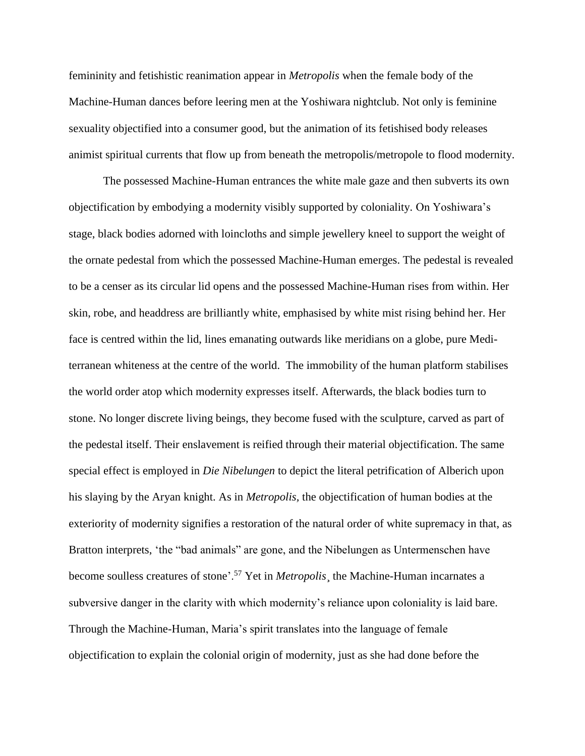femininity and fetishistic reanimation appear in *Metropolis* when the female body of the Machine-Human dances before leering men at the Yoshiwara nightclub. Not only is feminine sexuality objectified into a consumer good, but the animation of its fetishised body releases animist spiritual currents that flow up from beneath the metropolis/metropole to flood modernity.

The possessed Machine-Human entrances the white male gaze and then subverts its own objectification by embodying a modernity visibly supported by coloniality. On Yoshiwara's stage, black bodies adorned with loincloths and simple jewellery kneel to support the weight of the ornate pedestal from which the possessed Machine-Human emerges. The pedestal is revealed to be a censer as its circular lid opens and the possessed Machine-Human rises from within. Her skin, robe, and headdress are brilliantly white, emphasised by white mist rising behind her. Her face is centred within the lid, lines emanating outwards like meridians on a globe, pure Mediterranean whiteness at the centre of the world. The immobility of the human platform stabilises the world order atop which modernity expresses itself. Afterwards, the black bodies turn to stone. No longer discrete living beings, they become fused with the sculpture, carved as part of the pedestal itself. Their enslavement is reified through their material objectification. The same special effect is employed in *Die Nibelungen* to depict the literal petrification of Alberich upon his slaying by the Aryan knight. As in *Metropolis,* the objectification of human bodies at the exteriority of modernity signifies a restoration of the natural order of white supremacy in that, as Bratton interprets, 'the "bad animals" are gone, and the Nibelungen as Untermenschen have become soulless creatures of stone'.<sup>57</sup> Yet in *Metropolis*¸ the Machine-Human incarnates a subversive danger in the clarity with which modernity's reliance upon coloniality is laid bare. Through the Machine-Human, Maria's spirit translates into the language of female objectification to explain the colonial origin of modernity, just as she had done before the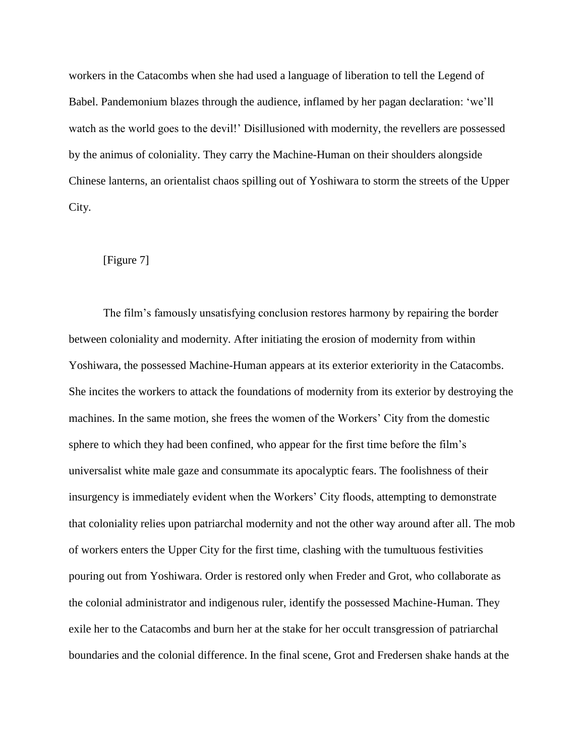workers in the Catacombs when she had used a language of liberation to tell the Legend of Babel. Pandemonium blazes through the audience, inflamed by her pagan declaration: 'we'll watch as the world goes to the devil!' Disillusioned with modernity, the revellers are possessed by the animus of coloniality. They carry the Machine-Human on their shoulders alongside Chinese lanterns, an orientalist chaos spilling out of Yoshiwara to storm the streets of the Upper City.

## [Figure 7]

The film's famously unsatisfying conclusion restores harmony by repairing the border between coloniality and modernity. After initiating the erosion of modernity from within Yoshiwara, the possessed Machine-Human appears at its exterior exteriority in the Catacombs. She incites the workers to attack the foundations of modernity from its exterior by destroying the machines. In the same motion, she frees the women of the Workers' City from the domestic sphere to which they had been confined, who appear for the first time before the film's universalist white male gaze and consummate its apocalyptic fears. The foolishness of their insurgency is immediately evident when the Workers' City floods, attempting to demonstrate that coloniality relies upon patriarchal modernity and not the other way around after all. The mob of workers enters the Upper City for the first time, clashing with the tumultuous festivities pouring out from Yoshiwara. Order is restored only when Freder and Grot, who collaborate as the colonial administrator and indigenous ruler, identify the possessed Machine-Human. They exile her to the Catacombs and burn her at the stake for her occult transgression of patriarchal boundaries and the colonial difference. In the final scene, Grot and Fredersen shake hands at the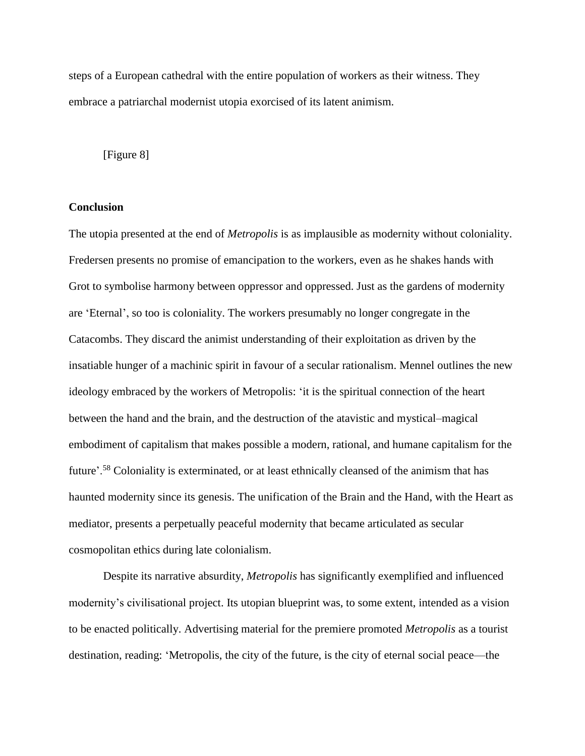steps of a European cathedral with the entire population of workers as their witness. They embrace a patriarchal modernist utopia exorcised of its latent animism.

[Figure 8]

### **Conclusion**

The utopia presented at the end of *Metropolis* is as implausible as modernity without coloniality. Fredersen presents no promise of emancipation to the workers, even as he shakes hands with Grot to symbolise harmony between oppressor and oppressed. Just as the gardens of modernity are 'Eternal', so too is coloniality. The workers presumably no longer congregate in the Catacombs. They discard the animist understanding of their exploitation as driven by the insatiable hunger of a machinic spirit in favour of a secular rationalism. Mennel outlines the new ideology embraced by the workers of Metropolis: 'it is the spiritual connection of the heart between the hand and the brain, and the destruction of the atavistic and mystical–magical embodiment of capitalism that makes possible a modern, rational, and humane capitalism for the future'.<sup>58</sup> Coloniality is exterminated, or at least ethnically cleansed of the animism that has haunted modernity since its genesis. The unification of the Brain and the Hand, with the Heart as mediator, presents a perpetually peaceful modernity that became articulated as secular cosmopolitan ethics during late colonialism.

Despite its narrative absurdity, *Metropolis* has significantly exemplified and influenced modernity's civilisational project. Its utopian blueprint was, to some extent, intended as a vision to be enacted politically. Advertising material for the premiere promoted *Metropolis* as a tourist destination, reading: 'Metropolis, the city of the future, is the city of eternal social peace—the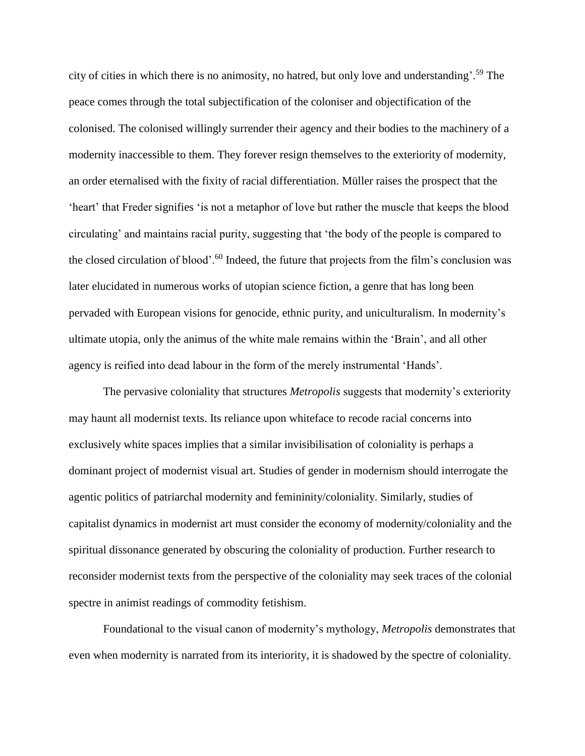city of cities in which there is no animosity, no hatred, but only love and understanding'. <sup>59</sup> The peace comes through the total subjectification of the coloniser and objectification of the colonised. The colonised willingly surrender their agency and their bodies to the machinery of a modernity inaccessible to them. They forever resign themselves to the exteriority of modernity, an order eternalised with the fixity of racial differentiation. Müller raises the prospect that the 'heart' that Freder signifies 'is not a metaphor of love but rather the muscle that keeps the blood circulating' and maintains racial purity, suggesting that 'the body of the people is compared to the closed circulation of blood'.<sup>60</sup> Indeed, the future that projects from the film's conclusion was later elucidated in numerous works of utopian science fiction, a genre that has long been pervaded with European visions for genocide, ethnic purity, and uniculturalism. In modernity's ultimate utopia, only the animus of the white male remains within the 'Brain', and all other agency is reified into dead labour in the form of the merely instrumental 'Hands'.

The pervasive coloniality that structures *Metropolis* suggests that modernity's exteriority may haunt all modernist texts. Its reliance upon whiteface to recode racial concerns into exclusively white spaces implies that a similar invisibilisation of coloniality is perhaps a dominant project of modernist visual art. Studies of gender in modernism should interrogate the agentic politics of patriarchal modernity and femininity/coloniality. Similarly, studies of capitalist dynamics in modernist art must consider the economy of modernity/coloniality and the spiritual dissonance generated by obscuring the coloniality of production. Further research to reconsider modernist texts from the perspective of the coloniality may seek traces of the colonial spectre in animist readings of commodity fetishism.

Foundational to the visual canon of modernity's mythology, *Metropolis* demonstrates that even when modernity is narrated from its interiority, it is shadowed by the spectre of coloniality.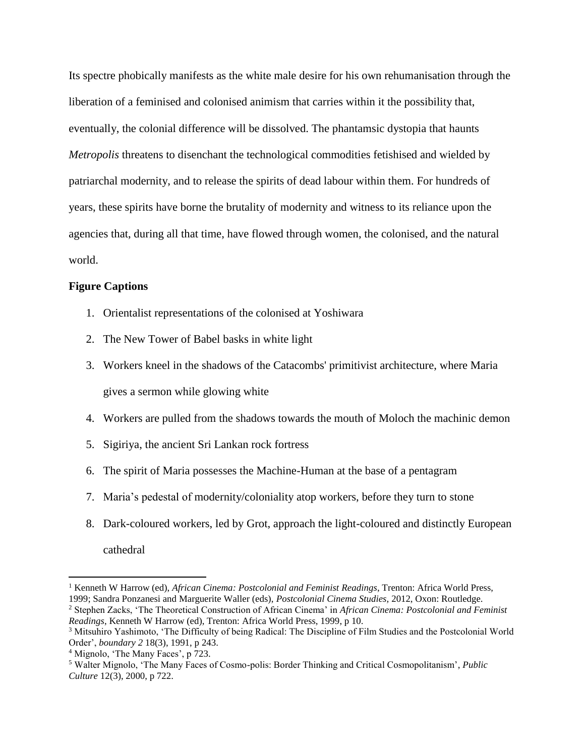Its spectre phobically manifests as the white male desire for his own rehumanisation through the liberation of a feminised and colonised animism that carries within it the possibility that, eventually, the colonial difference will be dissolved. The phantamsic dystopia that haunts *Metropolis* threatens to disenchant the technological commodities fetishised and wielded by patriarchal modernity, and to release the spirits of dead labour within them. For hundreds of years, these spirits have borne the brutality of modernity and witness to its reliance upon the agencies that, during all that time, have flowed through women, the colonised, and the natural world.

## **Figure Captions**

- 1. Orientalist representations of the colonised at Yoshiwara
- 2. The New Tower of Babel basks in white light
- 3. Workers kneel in the shadows of the Catacombs' primitivist architecture, where Maria gives a sermon while glowing white
- 4. Workers are pulled from the shadows towards the mouth of Moloch the machinic demon
- 5. Sigiriya, the ancient Sri Lankan rock fortress
- 6. The spirit of Maria possesses the Machine-Human at the base of a pentagram
- 7. Maria's pedestal of modernity/coloniality atop workers, before they turn to stone
- 8. Dark-coloured workers, led by Grot, approach the light-coloured and distinctly European cathedral

 $\overline{\phantom{a}}$ 

<sup>&</sup>lt;sup>1</sup> Kenneth W Harrow (ed), *African Cinema: Postcolonial and Feminist Readings*, Trenton: Africa World Press, 1999; Sandra Ponzanesi and Marguerite Waller (eds), *Postcolonial Cinema Studies,* 2012, Oxon: Routledge.

<sup>2</sup> Stephen Zacks, 'The Theoretical Construction of African Cinema' in *African Cinema: Postcolonial and Feminist Readings*, Kenneth W Harrow (ed), Trenton: Africa World Press, 1999, p 10.

<sup>3</sup> Mitsuhiro Yashimoto, 'The Difficulty of being Radical: The Discipline of Film Studies and the Postcolonial World Order', *boundary 2* 18(3), 1991, p 243.

<sup>4</sup> Mignolo, 'The Many Faces', p 723.

<sup>5</sup> Walter Mignolo, 'The Many Faces of Cosmo-polis: Border Thinking and Critical Cosmopolitanism', *Public Culture* 12(3), 2000, p 722.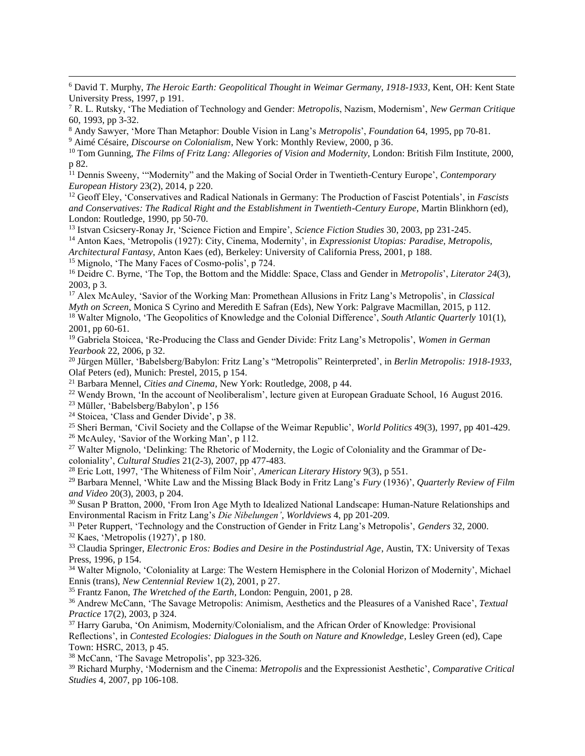<sup>8</sup> Andy Sawyer, 'More Than Metaphor: Double Vision in Lang's *Metropolis*', *Foundation* 64, 1995, pp 70-81.

<sup>9</sup> Aimé Césaire, *Discourse on Colonialism*, New York: Monthly Review, 2000, p 36.

<sup>10</sup> Tom Gunning, *The Films of Fritz Lang: Allegories of Vision and Modernity*, London: British Film Institute, 2000, p 82.

<sup>11</sup> Dennis Sweeny, '"Modernity" and the Making of Social Order in Twentieth-Century Europe', *Contemporary European History* 23(2), 2014, p 220.

<sup>12</sup> Geoff Eley, 'Conservatives and Radical Nationals in Germany: The Production of Fascist Potentials', in *Fascists and Conservatives: The Radical Right and the Establishment in Twentieth-Century Europe*, Martin Blinkhorn (ed), London: Routledge, 1990, pp 50-70.

<sup>13</sup> Istvan Csicsery-Ronay Jr, 'Science Fiction and Empire', *Science Fiction Studies* 30, 2003, pp 231-245.

<sup>14</sup> Anton Kaes, 'Metropolis (1927): City, Cinema, Modernity', in *Expressionist Utopias: Paradise, Metropolis, Architectural Fantasy*, Anton Kaes (ed), Berkeley: University of California Press, 2001, p 188.

<sup>15</sup> Mignolo, 'The Many Faces of Cosmo-polis', p 724.

 $\overline{a}$ 

<sup>16</sup> Deidre C. Byrne, 'The Top, the Bottom and the Middle: Space, Class and Gender in *Metropolis*', *Literator 24*(3), 2003, p 3.

<sup>17</sup> Alex McAuley, 'Savior of the Working Man: Promethean Allusions in Fritz Lang's Metropolis', in *Classical Myth on Screen*, Monica S Cyrino and Meredith E Safran (Eds), New York: Palgrave Macmillan, 2015, p 112.

<sup>18</sup> Walter Mignolo, 'The Geopolitics of Knowledge and the Colonial Difference', *South Atlantic Quarterly* 101(1), 2001, pp 60-61.

<sup>19</sup> Gabriela Stoicea, 'Re-Producing the Class and Gender Divide: Fritz Lang's Metropolis', *Women in German Yearbook* 22, 2006, p 32.

<sup>20</sup> Jürgen Müller, 'Babelsberg/Babylon: Fritz Lang's "Metropolis" Reinterpreted', in *Berlin Metropolis: 1918-1933*, Olaf Peters (ed), Munich: Prestel, 2015, p 154.

<sup>21</sup> Barbara Mennel, *Cities and Cinema*, New York: Routledge, 2008, p 44.

<sup>22</sup> Wendy Brown, 'In the account of Neoliberalism', lecture given at European Graduate School, 16 August 2016.

<sup>23</sup> Müller, 'Babelsberg/Babylon', p 156

<sup>24</sup> Stoicea, 'Class and Gender Divide', p 38.

<sup>25</sup> Sheri Berman, 'Civil Society and the Collapse of the Weimar Republic', *World Politics* 49(3), 1997, pp 401-429.

<sup>26</sup> McAuley, 'Savior of the Working Man', p 112.

<sup>27</sup> Walter Mignolo, 'Delinking: The Rhetoric of Modernity, the Logic of Coloniality and the Grammar of Decoloniality', *Cultural Studies* 21(2-3), 2007, pp 477-483.

<sup>28</sup> Eric Lott, 1997, 'The Whiteness of Film Noir', *American Literary History* 9(3), p 551.

<sup>29</sup> Barbara Mennel, 'White Law and the Missing Black Body in Fritz Lang's *Fury* (1936)', *Quarterly Review of Film and Video* 20(3), 2003, p 204.

<sup>30</sup> Susan P Bratton, 2000, 'From Iron Age Myth to Idealized National Landscape: Human-Nature Relationships and Environmental Racism in Fritz Lang's *Die Nibelungen'*, *Worldviews* 4, pp 201-209.

<sup>31</sup> Peter Ruppert, 'Technology and the Construction of Gender in Fritz Lang's Metropolis', *Genders* 32, 2000. <sup>32</sup> Kaes, 'Metropolis (1927)', p 180.

<sup>33</sup> Claudia Springer, *Electronic Eros: Bodies and Desire in the Postindustrial Age*, Austin, TX: University of Texas Press, 1996, p 154.

<sup>34</sup> Walter Mignolo, 'Coloniality at Large: The Western Hemisphere in the Colonial Horizon of Modernity', Michael Ennis (trans), *New Centennial Review* 1(2), 2001, p 27.

<sup>35</sup> Frantz Fanon, *The Wretched of the Earth*, London: Penguin, 2001, p 28.

<sup>36</sup> Andrew McCann, 'The Savage Metropolis: Animism, Aesthetics and the Pleasures of a Vanished Race', *Textual Practice* 17(2), 2003, p 324.

<sup>37</sup> Harry Garuba, 'On Animism, Modernity/Colonialism, and the African Order of Knowledge: Provisional Reflections', in *Contested Ecologies: Dialogues in the South on Nature and Knowledge*, Lesley Green (ed), Cape Town: HSRC, 2013, p 45.

<sup>38</sup> McCann, 'The Savage Metropolis', pp 323-326.

<sup>39</sup> Richard Murphy, 'Modernism and the Cinema: *Metropolis* and the Expressionist Aesthetic', *Comparative Critical Studies* 4, 2007, pp 106-108.

<sup>6</sup> David T. Murphy, *The Heroic Earth: Geopolitical Thought in Weimar Germany, 1918-1933,* Kent, OH: Kent State University Press, 1997, p 191.

<sup>7</sup> R. L. Rutsky, 'The Mediation of Technology and Gender: *Metropolis*, Nazism, Modernism', *New German Critique*  60, 1993, pp 3-32.